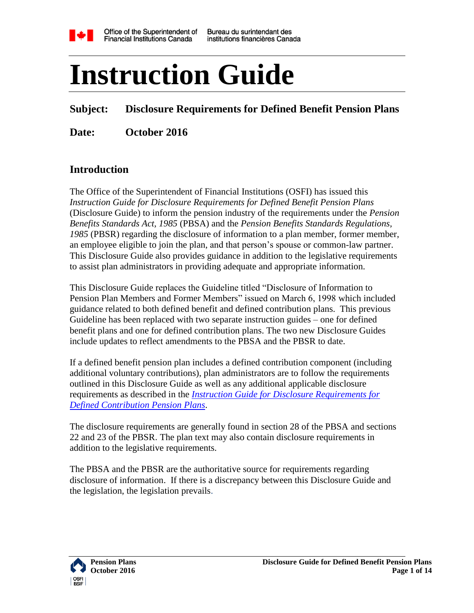

# **Instruction Guide**

#### **Subject: Disclosure Requirements for Defined Benefit Pension Plans**

**Date: October 2016**

#### **Introduction**

The Office of the Superintendent of Financial Institutions (OSFI) has issued this *Instruction Guide for Disclosure Requirements for Defined Benefit Pension Plans* (Disclosure Guide) to inform the pension industry of the requirements under the *Pension Benefits Standards Act, 1985* (PBSA) and the *Pension Benefits Standards Regulations, 1985* (PBSR) regarding the disclosure of information to a plan member, former member, an employee eligible to join the plan, and that person's spouse or common-law partner. This Disclosure Guide also provides guidance in addition to the legislative requirements to assist plan administrators in providing adequate and appropriate information.

This Disclosure Guide replaces the Guideline titled "Disclosure of Information to Pension Plan Members and Former Members" issued on March 6, 1998 which included guidance related to both defined benefit and defined contribution plans. This previous Guideline has been replaced with two separate instruction guides – one for defined benefit plans and one for defined contribution plans. The two new Disclosure Guides include updates to reflect amendments to the PBSA and the PBSR to date.

If a defined benefit pension plan includes a defined contribution component (including additional voluntary contributions), plan administrators are to follow the requirements outlined in this Disclosure Guide as well as any additional applicable disclosure requirements as described in the *[Instruction Guide for Disclosure Requirements for](http://www.osfi-bsif.gc.ca/Eng/Docs/disclosure.pdf)  [Defined Contribution Pension Plans](http://www.osfi-bsif.gc.ca/Eng/Docs/disclosure.pdf)*.

The disclosure requirements are generally found in section 28 of the PBSA and sections 22 and 23 of the PBSR. The plan text may also contain disclosure requirements in addition to the legislative requirements.

The PBSA and the PBSR are the authoritative source for requirements regarding disclosure of information. If there is a discrepancy between this Disclosure Guide and the legislation, the legislation prevails.

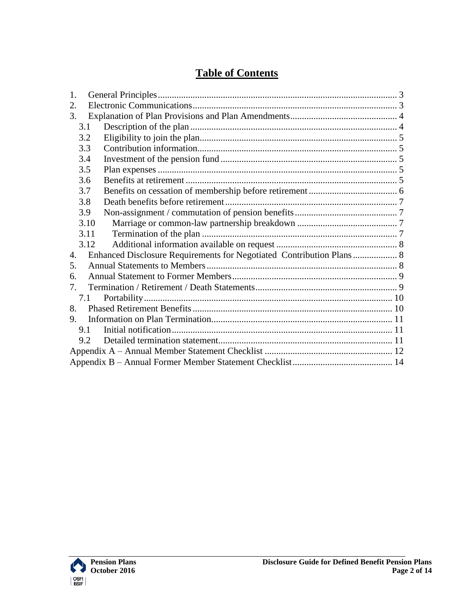### **Table of Contents**

| 1.             |                                                                      |  |  |
|----------------|----------------------------------------------------------------------|--|--|
| 2.             |                                                                      |  |  |
| 3.             |                                                                      |  |  |
| 3.1            |                                                                      |  |  |
| 3.2            |                                                                      |  |  |
| 3.3            |                                                                      |  |  |
| 3.4            |                                                                      |  |  |
| 3.5            |                                                                      |  |  |
| 3.6            |                                                                      |  |  |
| 3.7            |                                                                      |  |  |
| 3.8            |                                                                      |  |  |
| 3.9            |                                                                      |  |  |
| 3.10           |                                                                      |  |  |
| 3.11           |                                                                      |  |  |
| 3.12           |                                                                      |  |  |
| $\mathbf{4}$ . | Enhanced Disclosure Requirements for Negotiated Contribution Plans 8 |  |  |
| 5.             |                                                                      |  |  |
| 6.             |                                                                      |  |  |
| 7.             |                                                                      |  |  |
| 7.1            |                                                                      |  |  |
| 8 <sub>1</sub> |                                                                      |  |  |
| 9.             |                                                                      |  |  |
| 9.1            |                                                                      |  |  |
| 9.2            |                                                                      |  |  |
|                |                                                                      |  |  |
|                |                                                                      |  |  |

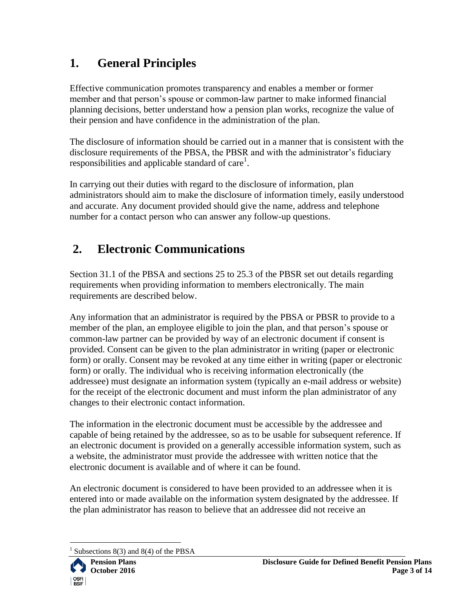# <span id="page-2-0"></span>**1. General Principles**

Effective communication promotes transparency and enables a member or former member and that person's spouse or common-law partner to make informed financial planning decisions, better understand how a pension plan works, recognize the value of their pension and have confidence in the administration of the plan.

The disclosure of information should be carried out in a manner that is consistent with the disclosure requirements of the PBSA, the PBSR and with the administrator's fiduciary responsibilities and applicable standard of care<sup>1</sup>.

In carrying out their duties with regard to the disclosure of information, plan administrators should aim to make the disclosure of information timely, easily understood and accurate. Any document provided should give the name, address and telephone number for a contact person who can answer any follow-up questions.

# <span id="page-2-1"></span>**2. Electronic Communications**

Section 31.1 of the PBSA and sections 25 to 25.3 of the PBSR set out details regarding requirements when providing information to members electronically. The main requirements are described below.

Any information that an administrator is required by the PBSA or PBSR to provide to a member of the plan, an employee eligible to join the plan, and that person's spouse or common-law partner can be provided by way of an electronic document if consent is provided. Consent can be given to the plan administrator in writing (paper or electronic form) or orally. Consent may be revoked at any time either in writing (paper or electronic form) or orally. The individual who is receiving information electronically (the addressee) must designate an information system (typically an e-mail address or website) for the receipt of the electronic document and must inform the plan administrator of any changes to their electronic contact information.

The information in the electronic document must be accessible by the addressee and capable of being retained by the addressee, so as to be usable for subsequent reference. If an electronic document is provided on a generally accessible information system, such as a website, the administrator must provide the addressee with written notice that the electronic document is available and of where it can be found.

An electronic document is considered to have been provided to an addressee when it is entered into or made available on the information system designated by the addressee. If the plan administrator has reason to believe that an addressee did not receive an

 $\overline{a}$ 1 Subsections 8(3) and 8(4) of the PBSA

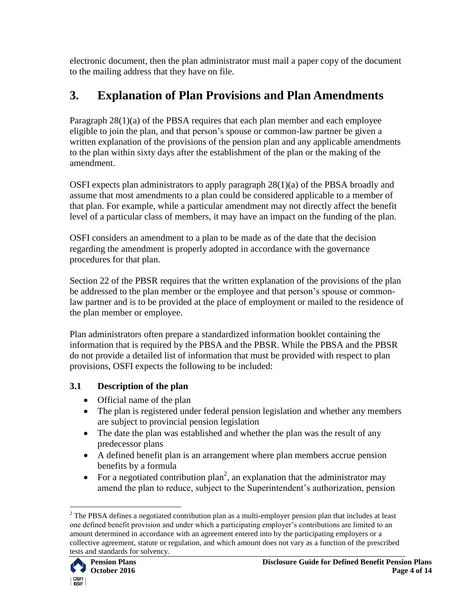electronic document, then the plan administrator must mail a paper copy of the document to the mailing address that they have on file.

# <span id="page-3-0"></span>**3. Explanation of Plan Provisions and Plan Amendments**

Paragraph 28(1)(a) of the PBSA requires that each plan member and each employee eligible to join the plan, and that person's spouse or common-law partner be given a written explanation of the provisions of the pension plan and any applicable amendments to the plan within sixty days after the establishment of the plan or the making of the amendment.

OSFI expects plan administrators to apply paragraph 28(1)(a) of the PBSA broadly and assume that most amendments to a plan could be considered applicable to a member of that plan. For example, while a particular amendment may not directly affect the benefit level of a particular class of members, it may have an impact on the funding of the plan.

OSFI considers an amendment to a plan to be made as of the date that the decision regarding the amendment is properly adopted in accordance with the governance procedures for that plan.

Section 22 of the PBSR requires that the written explanation of the provisions of the plan be addressed to the plan member or the employee and that person's spouse or commonlaw partner and is to be provided at the place of employment or mailed to the residence of the plan member or employee.

Plan administrators often prepare a standardized information booklet containing the information that is required by the PBSA and the PBSR. While the PBSA and the PBSR do not provide a detailed list of information that must be provided with respect to plan provisions, OSFI expects the following to be included:

#### <span id="page-3-1"></span>**3.1 Description of the plan**

- Official name of the plan
- The plan is registered under federal pension legislation and whether any members are subject to provincial pension legislation
- The date the plan was established and whether the plan was the result of any predecessor plans
- A defined benefit plan is an arrangement where plan members accrue pension benefits by a formula
- For a negotiated contribution plan<sup>2</sup>, an explanation that the administrator may amend the plan to reduce, subject to the Superintendent's authorization, pension

 $\overline{a}$  $2$  The PBSA defines a negotiated contribution plan as a multi-employer pension plan that includes at least one defined benefit provision and under which a participating employer's contributions are limited to an amount determined in accordance with an agreement entered into by the participating employers or a collective agreement, statute or regulation, and which amount does not vary as a function of the prescribed tests and standards for solvency.

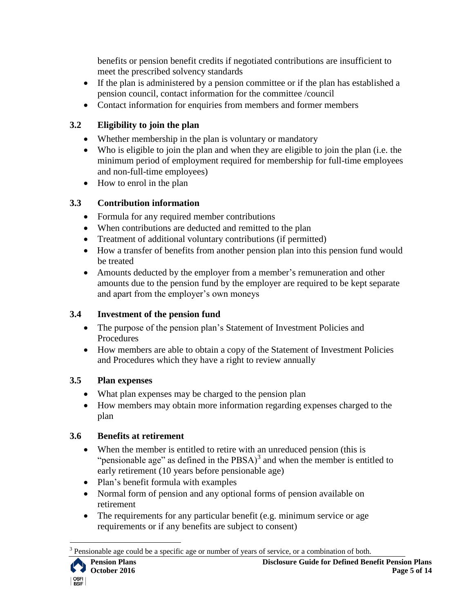benefits or pension benefit credits if negotiated contributions are insufficient to meet the prescribed solvency standards

- If the plan is administered by a pension committee or if the plan has established a pension council, contact information for the committee /council
- Contact information for enquiries from members and former members

#### <span id="page-4-0"></span>**3.2 Eligibility to join the plan**

- Whether membership in the plan is voluntary or mandatory
- Who is eligible to join the plan and when they are eligible to join the plan (i.e. the minimum period of employment required for membership for full-time employees and non-full-time employees)
- How to enrol in the plan

#### <span id="page-4-1"></span>**3.3 Contribution information**

- Formula for any required member contributions
- When contributions are deducted and remitted to the plan
- Treatment of additional voluntary contributions (if permitted)
- How a transfer of benefits from another pension plan into this pension fund would be treated
- Amounts deducted by the employer from a member's remuneration and other amounts due to the pension fund by the employer are required to be kept separate and apart from the employer's own moneys

#### <span id="page-4-2"></span>**3.4 Investment of the pension fund**

- The purpose of the pension plan's Statement of Investment Policies and Procedures
- How members are able to obtain a copy of the Statement of Investment Policies and Procedures which they have a right to review annually

#### <span id="page-4-3"></span>**3.5 Plan expenses**

- What plan expenses may be charged to the pension plan
- How members may obtain more information regarding expenses charged to the plan

#### <span id="page-4-4"></span>**3.6 Benefits at retirement**

- When the member is entitled to retire with an unreduced pension (this is "pensionable age" as defined in the  $PBSA$ <sup>3</sup> and when the member is entitled to early retirement (10 years before pensionable age)
- Plan's benefit formula with examples
- Normal form of pension and any optional forms of pension available on retirement
- The requirements for any particular benefit (e.g. minimum service or age requirements or if any benefits are subject to consent)

 $\overline{a}$ 

<sup>3</sup> Pensionable age could be a specific age or number of years of service, or a combination of both.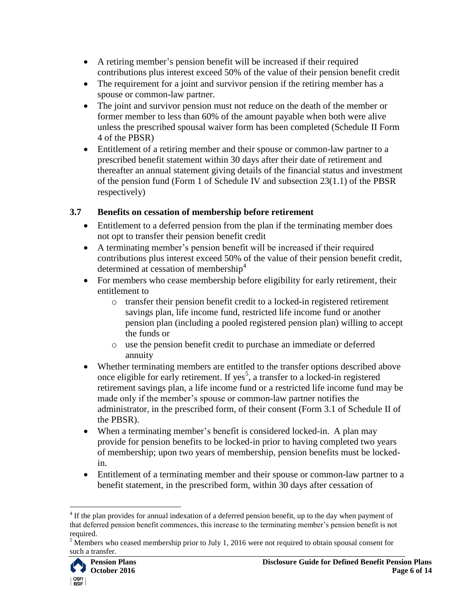- A retiring member's pension benefit will be increased if their required contributions plus interest exceed 50% of the value of their pension benefit credit
- The requirement for a joint and survivor pension if the retiring member has a spouse or common-law partner.
- The joint and survivor pension must not reduce on the death of the member or former member to less than 60% of the amount payable when both were alive unless the prescribed spousal waiver form has been completed (Schedule II Form 4 of the PBSR)
- Entitlement of a retiring member and their spouse or common-law partner to a prescribed benefit statement within 30 days after their date of retirement and thereafter an annual statement giving details of the financial status and investment of the pension fund (Form 1 of Schedule IV and subsection 23(1.1) of the PBSR respectively)

#### <span id="page-5-0"></span>**3.7 Benefits on cessation of membership before retirement**

- Entitlement to a deferred pension from the plan if the terminating member does not opt to transfer their pension benefit credit
- A terminating member's pension benefit will be increased if their required contributions plus interest exceed 50% of the value of their pension benefit credit, determined at cessation of membership<sup>4</sup>
- For members who cease membership before eligibility for early retirement, their entitlement to
	- o transfer their pension benefit credit to a locked-in registered retirement savings plan, life income fund, restricted life income fund or another pension plan (including a pooled registered pension plan) willing to accept the funds or
	- o use the pension benefit credit to purchase an immediate or deferred annuity
- Whether terminating members are entitled to the transfer options described above once eligible for early retirement. If yes<sup>5</sup>, a transfer to a locked-in registered retirement savings plan, a life income fund or a restricted life income fund may be made only if the member's spouse or common-law partner notifies the administrator, in the prescribed form, of their consent (Form 3.1 of Schedule II of the PBSR).
- When a terminating member's benefit is considered locked-in. A plan may provide for pension benefits to be locked-in prior to having completed two years of membership; upon two years of membership, pension benefits must be lockedin.
- Entitlement of a terminating member and their spouse or common-law partner to a benefit statement, in the prescribed form, within 30 days after cessation of

<sup>&</sup>lt;sup>5</sup> Members who ceased membership prior to July 1, 2016 were not required to obtain spousal consent for such a transfer.



 $\overline{a}$  $4$  If the plan provides for annual indexation of a deferred pension benefit, up to the day when payment of that deferred pension benefit commences, this increase to the terminating member's pension benefit is not required.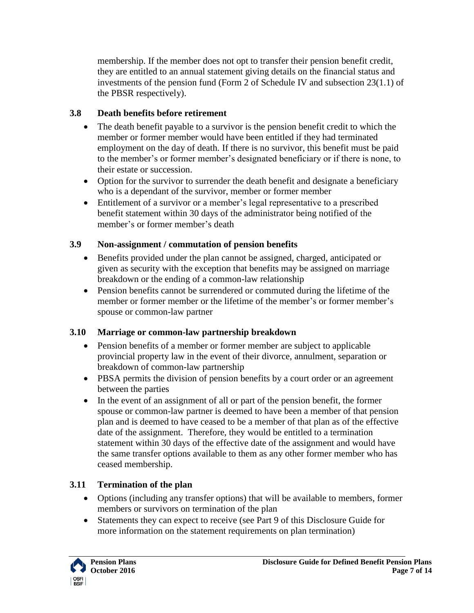membership. If the member does not opt to transfer their pension benefit credit, they are entitled to an annual statement giving details on the financial status and investments of the pension fund (Form 2 of Schedule IV and subsection 23(1.1) of the PBSR respectively).

#### <span id="page-6-0"></span>**3.8 Death benefits before retirement**

- The death benefit payable to a survivor is the pension benefit credit to which the member or former member would have been entitled if they had terminated employment on the day of death. If there is no survivor, this benefit must be paid to the member's or former member's designated beneficiary or if there is none, to their estate or succession.
- Option for the survivor to surrender the death benefit and designate a beneficiary who is a dependant of the survivor, member or former member
- Entitlement of a survivor or a member's legal representative to a prescribed benefit statement within 30 days of the administrator being notified of the member's or former member's death

#### <span id="page-6-1"></span>**3.9 Non-assignment / commutation of pension benefits**

- Benefits provided under the plan cannot be assigned, charged, anticipated or given as security with the exception that benefits may be assigned on marriage breakdown or the ending of a common-law relationship
- Pension benefits cannot be surrendered or commuted during the lifetime of the member or former member or the lifetime of the member's or former member's spouse or common-law partner

#### <span id="page-6-2"></span>**3.10 Marriage or common-law partnership breakdown**

- Pension benefits of a member or former member are subject to applicable provincial property law in the event of their divorce, annulment, separation or breakdown of common-law partnership
- PBSA permits the division of pension benefits by a court order or an agreement between the parties
- In the event of an assignment of all or part of the pension benefit, the former spouse or common-law partner is deemed to have been a member of that pension plan and is deemed to have ceased to be a member of that plan as of the effective date of the assignment. Therefore, they would be entitled to a termination statement within 30 days of the effective date of the assignment and would have the same transfer options available to them as any other former member who has ceased membership.

#### <span id="page-6-3"></span>**3.11 Termination of the plan**

- Options (including any transfer options) that will be available to members, former members or survivors on termination of the plan
- Statements they can expect to receive (see Part 9 of this Disclosure Guide for more information on the statement requirements on plan termination)

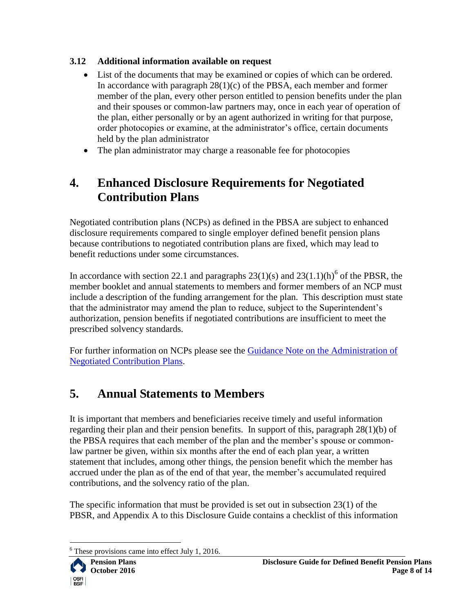#### <span id="page-7-0"></span>**3.12 Additional information available on request**

- List of the documents that may be examined or copies of which can be ordered. In accordance with paragraph  $28(1)(c)$  of the PBSA, each member and former member of the plan, every other person entitled to pension benefits under the plan and their spouses or common-law partners may, once in each year of operation of the plan, either personally or by an agent authorized in writing for that purpose, order photocopies or examine, at the administrator's office, certain documents held by the plan administrator
- The plan administrator may charge a reasonable fee for photocopies

# <span id="page-7-1"></span>**4. Enhanced Disclosure Requirements for Negotiated Contribution Plans**

Negotiated contribution plans (NCPs) as defined in the PBSA are subject to enhanced disclosure requirements compared to single employer defined benefit pension plans because contributions to negotiated contribution plans are fixed, which may lead to benefit reductions under some circumstances.

In accordance with section 22.1 and paragraphs  $23(1)(s)$  and  $23(1.1)(h)$ <sup>6</sup> of the PBSR, the member booklet and annual statements to members and former members of an NCP must include a description of the funding arrangement for the plan. This description must state that the administrator may amend the plan to reduce, subject to the Superintendent's authorization, pension benefits if negotiated contributions are insufficient to meet the prescribed solvency standards.

For further information on NCPs please see the [Guidance Note on the Administration of](http://www.osfi-bsif.gc.ca/Eng/pp-rr/ppa-rra/neg/Pages/ncdbgn.aspx)  [Negotiated Contribution Plans.](http://www.osfi-bsif.gc.ca/Eng/pp-rr/ppa-rra/neg/Pages/ncdbgn.aspx)

# <span id="page-7-2"></span>**5. Annual Statements to Members**

It is important that members and beneficiaries receive timely and useful information regarding their plan and their pension benefits. In support of this, paragraph 28(1)(b) of the PBSA requires that each member of the plan and the member's spouse or commonlaw partner be given, within six months after the end of each plan year, a written statement that includes, among other things, the pension benefit which the member has accrued under the plan as of the end of that year, the member's accumulated required contributions, and the solvency ratio of the plan.

The specific information that must be provided is set out in subsection 23(1) of the PBSR, and Appendix A to this Disclosure Guide contains a checklist of this information

 $\overline{a}$ These provisions came into effect July 1, 2016.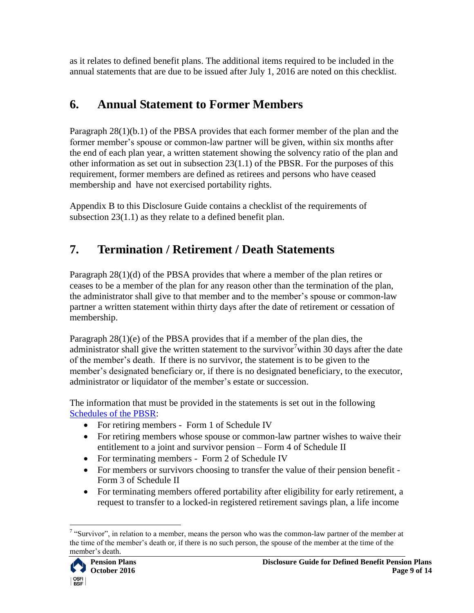as it relates to defined benefit plans. The additional items required to be included in the annual statements that are due to be issued after July 1, 2016 are noted on this checklist.

## <span id="page-8-0"></span>**6. Annual Statement to Former Members**

Paragraph 28(1)(b.1) of the PBSA provides that each former member of the plan and the former member's spouse or common-law partner will be given, within six months after the end of each plan year, a written statement showing the solvency ratio of the plan and other information as set out in subsection 23(1.1) of the PBSR. For the purposes of this requirement, former members are defined as retirees and persons who have ceased membership and have not exercised portability rights.

Appendix B to this Disclosure Guide contains a checklist of the requirements of subsection 23(1.1) as they relate to a defined benefit plan.

# <span id="page-8-1"></span>**7. Termination / Retirement / Death Statements**

Paragraph 28(1)(d) of the PBSA provides that where a member of the plan retires or ceases to be a member of the plan for any reason other than the termination of the plan, the administrator shall give to that member and to the member's spouse or common-law partner a written statement within thirty days after the date of retirement or cessation of membership.

Paragraph 28(1)(e) of the PBSA provides that if a member of the plan dies, the administrator shall give the written statement to the survivor<sup>7</sup> within 30 days after the date of the member's death. If there is no survivor, the statement is to be given to the member's designated beneficiary or, if there is no designated beneficiary, to the executor, administrator or liquidator of the member's estate or succession.

The information that must be provided in the statements is set out in the following [Schedules of the PBSR:](http://laws-lois.justice.gc.ca/eng/regulations/SOR-87-19/index.html)

- For retiring members Form 1 of Schedule IV
- For retiring members whose spouse or common-law partner wishes to waive their entitlement to a joint and survivor pension – Form 4 of Schedule II
- For terminating members Form 2 of Schedule IV
- For members or survivors choosing to transfer the value of their pension benefit Form 3 of Schedule II
- For terminating members offered portability after eligibility for early retirement, a request to transfer to a locked-in registered retirement savings plan, a life income

 $\overline{a}$  $7$  "Survivor", in relation to a member, means the person who was the common-law partner of the member at the time of the member's death or, if there is no such person, the spouse of the member at the time of the member's death.

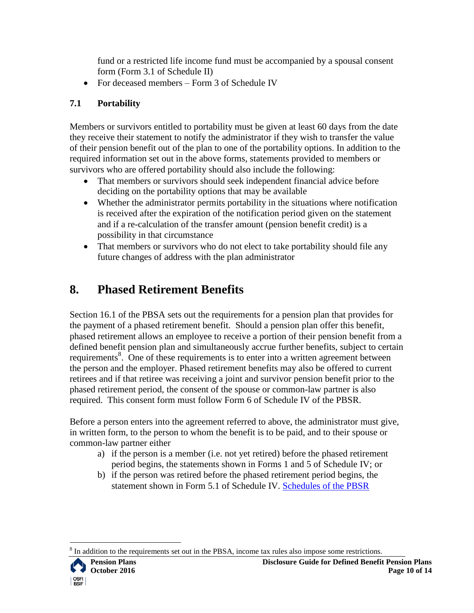fund or a restricted life income fund must be accompanied by a spousal consent form (Form 3.1 of Schedule II)

• For deceased members – Form 3 of Schedule IV

#### <span id="page-9-0"></span>**7.1 Portability**

Members or survivors entitled to portability must be given at least 60 days from the date they receive their statement to notify the administrator if they wish to transfer the value of their pension benefit out of the plan to one of the portability options. In addition to the required information set out in the above forms, statements provided to members or survivors who are offered portability should also include the following:

- That members or survivors should seek independent financial advice before deciding on the portability options that may be available
- Whether the administrator permits portability in the situations where notification is received after the expiration of the notification period given on the statement and if a re-calculation of the transfer amount (pension benefit credit) is a possibility in that circumstance
- That members or survivors who do not elect to take portability should file any future changes of address with the plan administrator

## <span id="page-9-1"></span>**8. Phased Retirement Benefits**

Section 16.1 of the PBSA sets out the requirements for a pension plan that provides for the payment of a phased retirement benefit. Should a pension plan offer this benefit, phased retirement allows an employee to receive a portion of their pension benefit from a defined benefit pension plan and simultaneously accrue further benefits, subject to certain requirements<sup>8</sup>. One of these requirements is to enter into a written agreement between the person and the employer. Phased retirement benefits may also be offered to current retirees and if that retiree was receiving a joint and survivor pension benefit prior to the phased retirement period, the consent of the spouse or common-law partner is also required. This consent form must follow Form 6 of Schedule IV of the PBSR.

Before a person enters into the agreement referred to above, the administrator must give, in written form, to the person to whom the benefit is to be paid, and to their spouse or common-law partner either

- a) if the person is a member (i.e. not yet retired) before the phased retirement period begins, the statements shown in Forms 1 and 5 of Schedule IV; or
- b) if the person was retired before the phased retirement period begins, the statement shown in Form 5.1 of Schedule IV. [Schedules of the PBSR](http://laws-lois.justice.gc.ca/eng/regulations/SOR-87-19/index.html)

 $\overline{a}$ 8 In addition to the requirements set out in the PBSA, income tax rules also impose some restrictions.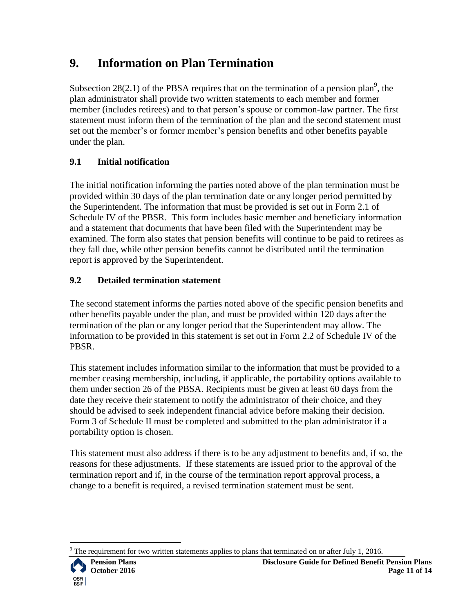## <span id="page-10-0"></span>**9. Information on Plan Termination**

Subsection 28(2.1) of the PBSA requires that on the termination of a pension plan<sup>9</sup>, the plan administrator shall provide two written statements to each member and former member (includes retirees) and to that person's spouse or common-law partner. The first statement must inform them of the termination of the plan and the second statement must set out the member's or former member's pension benefits and other benefits payable under the plan.

#### <span id="page-10-1"></span>**9.1 Initial notification**

The initial notification informing the parties noted above of the plan termination must be provided within 30 days of the plan termination date or any longer period permitted by the Superintendent. The information that must be provided is set out in Form 2.1 of Schedule IV of the PBSR. This form includes basic member and beneficiary information and a statement that documents that have been filed with the Superintendent may be examined. The form also states that pension benefits will continue to be paid to retirees as they fall due, while other pension benefits cannot be distributed until the termination report is approved by the Superintendent.

#### <span id="page-10-2"></span>**9.2 Detailed termination statement**

The second statement informs the parties noted above of the specific pension benefits and other benefits payable under the plan, and must be provided within 120 days after the termination of the plan or any longer period that the Superintendent may allow. The information to be provided in this statement is set out in Form 2.2 of Schedule IV of the PBSR.

This statement includes information similar to the information that must be provided to a member ceasing membership, including, if applicable, the portability options available to them under section 26 of the PBSA. Recipients must be given at least 60 days from the date they receive their statement to notify the administrator of their choice, and they should be advised to seek independent financial advice before making their decision. Form 3 of Schedule II must be completed and submitted to the plan administrator if a portability option is chosen.

This statement must also address if there is to be any adjustment to benefits and, if so, the reasons for these adjustments. If these statements are issued prior to the approval of the termination report and if, in the course of the termination report approval process, a change to a benefit is required, a revised termination statement must be sent.

 $\overline{a}$ The requirement for two written statements applies to plans that terminated on or after July 1, 2016.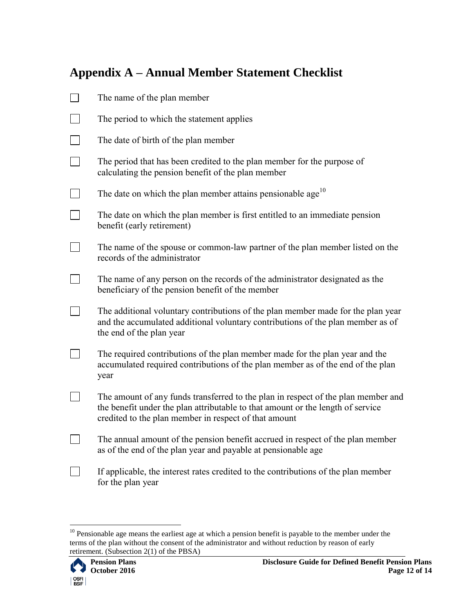## <span id="page-11-0"></span>**Appendix A – Annual Member Statement Checklist**

| The name of the plan member                                                                                                                                                                                                   |
|-------------------------------------------------------------------------------------------------------------------------------------------------------------------------------------------------------------------------------|
| The period to which the statement applies                                                                                                                                                                                     |
| The date of birth of the plan member                                                                                                                                                                                          |
| The period that has been credited to the plan member for the purpose of<br>calculating the pension benefit of the plan member                                                                                                 |
| The date on which the plan member attains pensionable age <sup>10</sup>                                                                                                                                                       |
| The date on which the plan member is first entitled to an immediate pension<br>benefit (early retirement)                                                                                                                     |
| The name of the spouse or common-law partner of the plan member listed on the<br>records of the administrator                                                                                                                 |
| The name of any person on the records of the administrator designated as the<br>beneficiary of the pension benefit of the member                                                                                              |
| The additional voluntary contributions of the plan member made for the plan year<br>and the accumulated additional voluntary contributions of the plan member as of<br>the end of the plan year                               |
| The required contributions of the plan member made for the plan year and the<br>accumulated required contributions of the plan member as of the end of the plan<br>year                                                       |
| The amount of any funds transferred to the plan in respect of the plan member and<br>the benefit under the plan attributable to that amount or the length of service<br>credited to the plan member in respect of that amount |
| The annual amount of the pension benefit accrued in respect of the plan member<br>as of the end of the plan year and payable at pensionable age                                                                               |
| If applicable, the interest rates credited to the contributions of the plan member<br>for the plan year                                                                                                                       |

 $\overline{a}$ 

 $10$  Pensionable age means the earliest age at which a pension benefit is payable to the member under the terms of the plan without the consent of the administrator and without reduction by reason of early retirement. (Subsection 2(1) of the PBSA)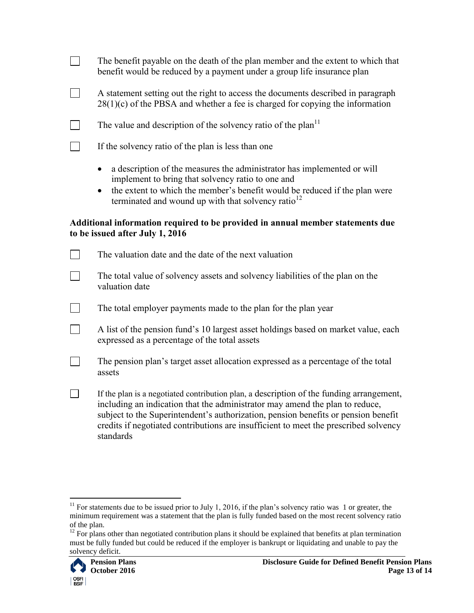The benefit payable on the death of the plan member and the extent to which that benefit would be reduced by a payment under a group life insurance plan

A statement setting out the right to access the documents described in paragraph  $28(1)(c)$  of the PBSA and whether a fee is charged for copying the information

The value and description of the solvency ratio of the plan<sup>11</sup>

If the solvency ratio of the plan is less than one

 $\Box$ 

 $\Box$ 

 $\Box$ 

 $\Box$ 

- a description of the measures the administrator has implemented or will implement to bring that solvency ratio to one and
- the extent to which the member's benefit would be reduced if the plan were terminated and wound up with that solvency ratio $12$

#### **Additional information required to be provided in annual member statements due to be issued after July 1, 2016**

| The valuation date and the date of the next valuation                                                                                                                                                                                                                                                                                                               |
|---------------------------------------------------------------------------------------------------------------------------------------------------------------------------------------------------------------------------------------------------------------------------------------------------------------------------------------------------------------------|
| The total value of solvency assets and solvency liabilities of the plan on the<br>valuation date                                                                                                                                                                                                                                                                    |
| The total employer payments made to the plan for the plan year                                                                                                                                                                                                                                                                                                      |
| A list of the pension fund's 10 largest asset holdings based on market value, each<br>expressed as a percentage of the total assets                                                                                                                                                                                                                                 |
| The pension plan's target asset allocation expressed as a percentage of the total<br>assets                                                                                                                                                                                                                                                                         |
| If the plan is a negotiated contribution plan, a description of the funding arrangement,<br>including an indication that the administrator may amend the plan to reduce,<br>subject to the Superintendent's authorization, pension benefits or pension benefit<br>credits if negotiated contributions are insufficient to meet the prescribed solvency<br>standards |

 $12$  For plans other than negotiated contribution plans it should be explained that benefits at plan termination must be fully funded but could be reduced if the employer is bankrupt or liquidating and unable to pay the solvency deficit.



 $\overline{a}$  $11$  For statements due to be issued prior to July 1, 2016, if the plan's solvency ratio was 1 or greater, the minimum requirement was a statement that the plan is fully funded based on the most recent solvency ratio of the plan.